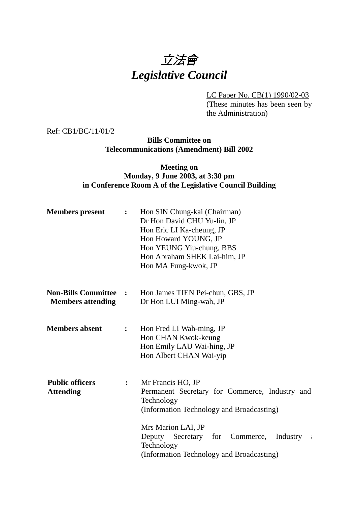# 立法會 *Legislative Council*

LC Paper No. CB(1) 1990/02-03

(These minutes has been seen by the Administration)

Ref: CB1/BC/11/01/2

### **Bills Committee on Telecommunications (Amendment) Bill 2002**

### **Meeting on Monday, 9 June 2003, at 3:30 pm in Conference Room A of the Legislative Council Building**

| <b>Members</b> present                                 | $\ddot{\cdot}$ | Hon SIN Chung-kai (Chairman)<br>Dr Hon David CHU Yu-lin, JP<br>Hon Eric LI Ka-cheung, JP<br>Hon Howard YOUNG, JP<br>Hon YEUNG Yiu-chung, BBS<br>Hon Abraham SHEK Lai-him, JP<br>Hon MA Fung-kwok, JP                                                                      |
|--------------------------------------------------------|----------------|---------------------------------------------------------------------------------------------------------------------------------------------------------------------------------------------------------------------------------------------------------------------------|
| <b>Non-Bills Committee</b><br><b>Members attending</b> | $\ddot{\cdot}$ | Hon James TIEN Pei-chun, GBS, JP<br>Dr Hon LUI Ming-wah, JP                                                                                                                                                                                                               |
| <b>Members absent</b>                                  | $\ddot{\cdot}$ | Hon Fred LI Wah-ming, JP<br>Hon CHAN Kwok-keung<br>Hon Emily LAU Wai-hing, JP<br>Hon Albert CHAN Wai-yip                                                                                                                                                                  |
| <b>Public officers</b><br><b>Attending</b>             | $\ddot{\cdot}$ | Mr Francis HO, JP<br>Permanent Secretary for Commerce, Industry and<br>Technology<br>(Information Technology and Broadcasting)<br>Mrs Marion LAI, JP<br>Deputy Secretary for Commerce,<br>Industry<br>$\sim$ 4<br>Technology<br>(Information Technology and Broadcasting) |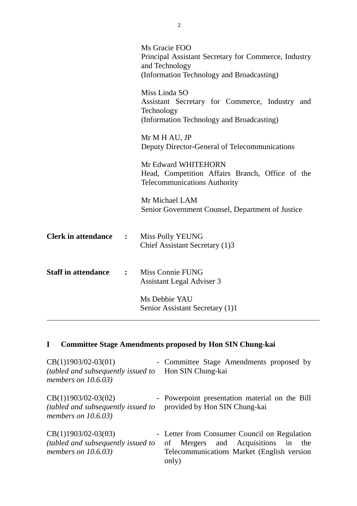|                            |                | Ms Gracie FOO<br>Principal Assistant Secretary for Commerce, Industry<br>and Technology<br>(Information Technology and Broadcasting) |
|----------------------------|----------------|--------------------------------------------------------------------------------------------------------------------------------------|
|                            |                | Miss Linda SO<br>Assistant Secretary for Commerce, Industry and<br>Technology<br>(Information Technology and Broadcasting)           |
|                            |                | Mr M H AU, JP<br>Deputy Director-General of Telecommunications                                                                       |
|                            |                | Mr Edward WHITEHORN<br>Head, Competition Affairs Branch, Office of the<br><b>Telecommunications Authority</b>                        |
|                            |                | Mr Michael LAM<br>Senior Government Counsel, Department of Justice                                                                   |
| <b>Clerk in attendance</b> | $\ddot{\cdot}$ | <b>Miss Polly YEUNG</b><br>Chief Assistant Secretary (1)3                                                                            |
| <b>Staff in attendance</b> | $\ddot{\cdot}$ | Miss Connie FUNG<br><b>Assistant Legal Adviser 3</b>                                                                                 |
|                            |                | Ms Debbie YAU<br>Senior Assistant Secretary (1)1                                                                                     |

## **I Committee Stage Amendments proposed by Hon SIN Chung-kai**

| $CB(1)1903/02-03(01)$<br>(tabled and subsequently issued to<br>members on $10.6.03$ )        | - Committee Stage Amendments proposed by<br>Hon SIN Chung-kai                                                                                   |
|----------------------------------------------------------------------------------------------|-------------------------------------------------------------------------------------------------------------------------------------------------|
| $CB(1)1903/02-03(02)$<br><i>(tabled and subsequently issued to</i><br>members on $10.6.03$ ) | - Powerpoint presentation material on the Bill<br>provided by Hon SIN Chung-kai                                                                 |
| $CB(1)1903/02-03(03)$<br><i>(tabled and subsequently issued to</i><br>members on $10.6.03$ ) | - Letter from Consumer Council on Regulation<br>Mergers and Acquisitions in<br>the<br>of<br>Telecommunications Market (English version<br>only) |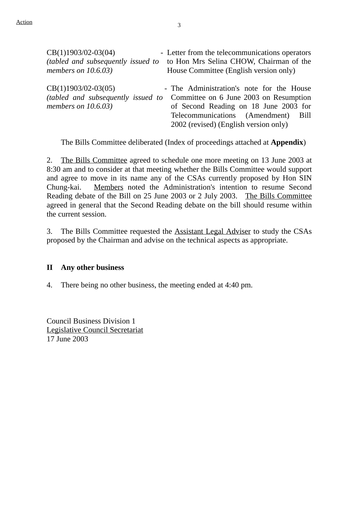| $CB(1)1903/02-03(04)$                                                                        | - Letter from the telecommunications operators                                                                                                                                                                  |
|----------------------------------------------------------------------------------------------|-----------------------------------------------------------------------------------------------------------------------------------------------------------------------------------------------------------------|
| <i>(tabled and subsequently issued to</i>                                                    | to Hon Mrs Selina CHOW, Chairman of the                                                                                                                                                                         |
| members on $10.6.03$ )                                                                       | House Committee (English version only)                                                                                                                                                                          |
| $CB(1)1903/02-03(05)$<br><i>(tabled and subsequently issued to</i><br>members on $10.6.03$ ) | - The Administration's note for the House<br>Committee on 6 June 2003 on Resumption<br>of Second Reading on 18 June 2003 for<br>Telecommunications (Amendment)<br>Bill<br>2002 (revised) (English version only) |

1 The Bills Committee deliberated (Index of proceedings attached at **Appendix**)

2. The Bills Committee agreed to schedule one more meeting on 13 June 2003 at 8:30 am and to consider at that meeting whether the Bills Committee would support and agree to move in its name any of the CSAs currently proposed by Hon SIN Chung-kai. Members noted the Administration's intention to resume Second Reading debate of the Bill on 25 June 2003 or 2 July 2003. The Bills Committee agreed in general that the Second Reading debate on the bill should resume within the current session.

3. The Bills Committee requested the Assistant Legal Adviser to study the CSAs proposed by the Chairman and advise on the technical aspects as appropriate.

#### **II Any other business**

4. There being no other business, the meeting ended at 4:40 pm.

Council Business Division 1 Legislative Council Secretariat 17 June 2003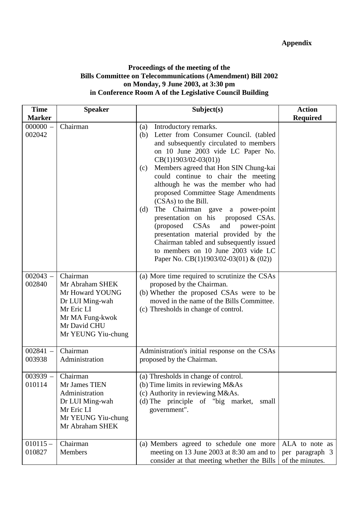### **Proceedings of the meeting of the Bills Committee on Telecommunications (Amendment) Bill 2002 on Monday, 9 June 2003, at 3:30 pm in Conference Room A of the Legislative Council Building**

| <b>Time</b>          | <b>Speaker</b>                                                                                                                           | Subject(s)                                                                                                                                                                                                                                                                                                                                                                                                                                                                                                                                                                                                                                                                         | <b>Action</b>                                        |
|----------------------|------------------------------------------------------------------------------------------------------------------------------------------|------------------------------------------------------------------------------------------------------------------------------------------------------------------------------------------------------------------------------------------------------------------------------------------------------------------------------------------------------------------------------------------------------------------------------------------------------------------------------------------------------------------------------------------------------------------------------------------------------------------------------------------------------------------------------------|------------------------------------------------------|
| <b>Marker</b>        |                                                                                                                                          |                                                                                                                                                                                                                                                                                                                                                                                                                                                                                                                                                                                                                                                                                    | <b>Required</b>                                      |
| $000000 -$<br>002042 | Chairman                                                                                                                                 | Introductory remarks.<br>(a)<br>(b) Letter from Consumer Council. (tabled<br>and subsequently circulated to members<br>on 10 June 2003 vide LC Paper No.<br>$CB(1)1903/02-03(01))$<br>Members agreed that Hon SIN Chung-kai<br>(c)<br>could continue to chair the meeting<br>although he was the member who had<br>proposed Committee Stage Amendments<br>(CSAs) to the Bill.<br>The Chairman gave<br>(d)<br>a power-point<br>presentation on his<br>proposed CSAs.<br>CSAs<br>(proposed)<br>and<br>power-point<br>presentation material provided by the<br>Chairman tabled and subsequently issued<br>to members on 10 June 2003 vide LC<br>Paper No. CB(1)1903/02-03(01) & (02)) |                                                      |
| $002043 -$<br>002840 | Chairman<br>Mr Abraham SHEK<br>Mr Howard YOUNG<br>Dr LUI Ming-wah<br>Mr Eric LI<br>Mr MA Fung-kwok<br>Mr David CHU<br>Mr YEUNG Yiu-chung | (a) More time required to scrutinize the CSAs<br>proposed by the Chairman.<br>(b) Whether the proposed CSAs were to be<br>moved in the name of the Bills Committee.<br>(c) Thresholds in change of control.                                                                                                                                                                                                                                                                                                                                                                                                                                                                        |                                                      |
| $002841 -$<br>003938 | Chairman<br>Administration                                                                                                               | Administration's initial response on the CSAs<br>proposed by the Chairman.                                                                                                                                                                                                                                                                                                                                                                                                                                                                                                                                                                                                         |                                                      |
| $003939 -$<br>010114 | Chairman<br>Mr James TIEN<br>Administration<br>Dr LUI Ming-wah<br>Mr Eric LI<br>Mr YEUNG Yiu-chung<br>Mr Abraham SHEK                    | (a) Thresholds in change of control.<br>(b) Time limits in reviewing M&As<br>(c) Authority in reviewing M&As.<br>(d) The principle of "big market,<br>small<br>government".                                                                                                                                                                                                                                                                                                                                                                                                                                                                                                        |                                                      |
| $010115 -$<br>010827 | Chairman<br>Members                                                                                                                      | (a) Members agreed to schedule one more<br>meeting on 13 June 2003 at 8:30 am and to<br>consider at that meeting whether the Bills                                                                                                                                                                                                                                                                                                                                                                                                                                                                                                                                                 | ALA to note as<br>per paragraph 3<br>of the minutes. |